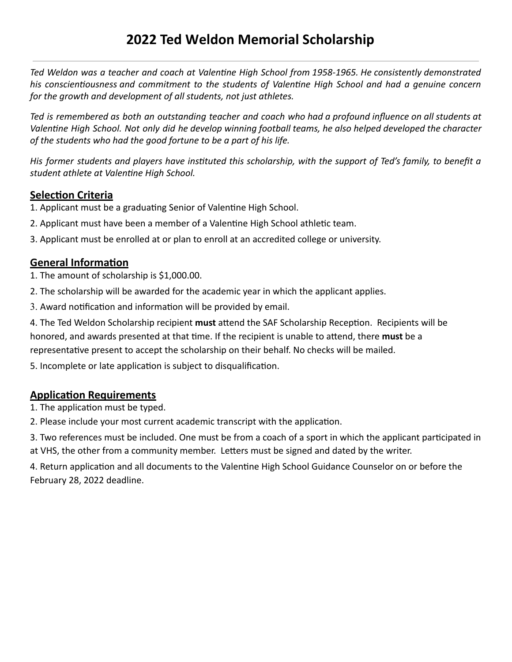# **2022 Ted Weldon Memorial Scholarship**

 *Ted Weldon was a teacher and coach at Valenne High School from 1958-1965. He consistently demonstrated*  his conscientiousness and commitment to the students of Valentine High School and had a genuine concern  *for the growth and development of all students, not just athletes.* 

 *Ted is remembered as both an outstanding teacher and coach who had a profound influence on all students at*  Valentine High School. Not only did he develop winning football teams, he also helped developed the character  *of the students who had the good fortune to be a part of his life.* 

 *His former students and players have instuted this scholarship, with the support of Ted's family, to benefit a student athlete at Valenne High School.* 

#### **Selection Criteria**

1. Applicant must be a graduating Senior of Valentine High School.

- 2. Applicant must have been a member of a Valentine High School athletic team.
- 3. Applicant must be enrolled at or plan to enroll at an accredited college or university.

#### **General Information**

1. The amount of scholarship is \$1,000.00.

- 2. The scholarship will be awarded for the academic year in which the applicant applies.
- 3. Award notification and information will be provided by email.

4. The Ted Weldon Scholarship recipient must attend the SAF Scholarship Reception. Recipients will be honored, and awards presented at that time. If the recipient is unable to attend, there **must** be a representative present to accept the scholarship on their behalf. No checks will be mailed.

5. Incomplete or late application is subject to disqualification.

#### **Application Requirements**

1. The application must be typed.

2. Please include your most current academic transcript with the application.

3. Two references must be included. One must be from a coach of a sport in which the applicant participated in at VHS, the other from a community member. Letters must be signed and dated by the writer.

4. Return application and all documents to the Valentine High School Guidance Counselor on or before the February 28, 2022 deadline.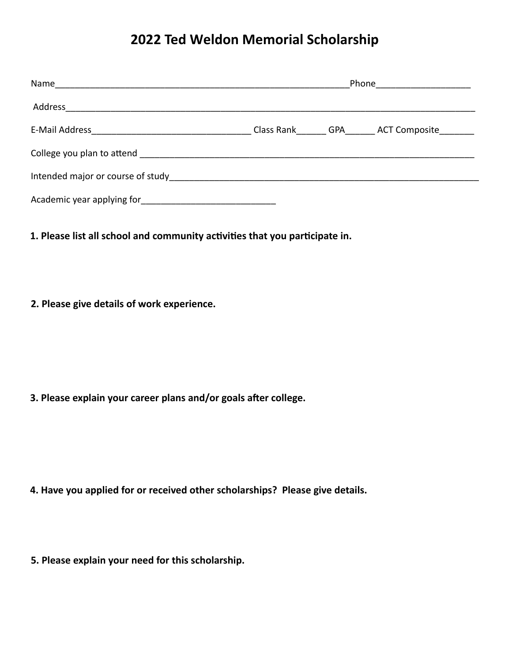## **2022 Ted Weldon Memorial Scholarship**

| Name                              | Phone                        |  |  |
|-----------------------------------|------------------------------|--|--|
| Address                           |                              |  |  |
| E-Mail Address                    | Class Rank GPA ACT Composite |  |  |
| College you plan to attend        |                              |  |  |
| Intended major or course of study |                              |  |  |
| Academic year applying for        |                              |  |  |

1. Please list all school and community activities that you participate in.

 **2. Please give details of work experience.**

 **3. Please explain your career plans and/or goals after college.** 

- **4. Have you applied for or received other scholarships? Please give details.**
- **5. Please explain your need for this scholarship.**